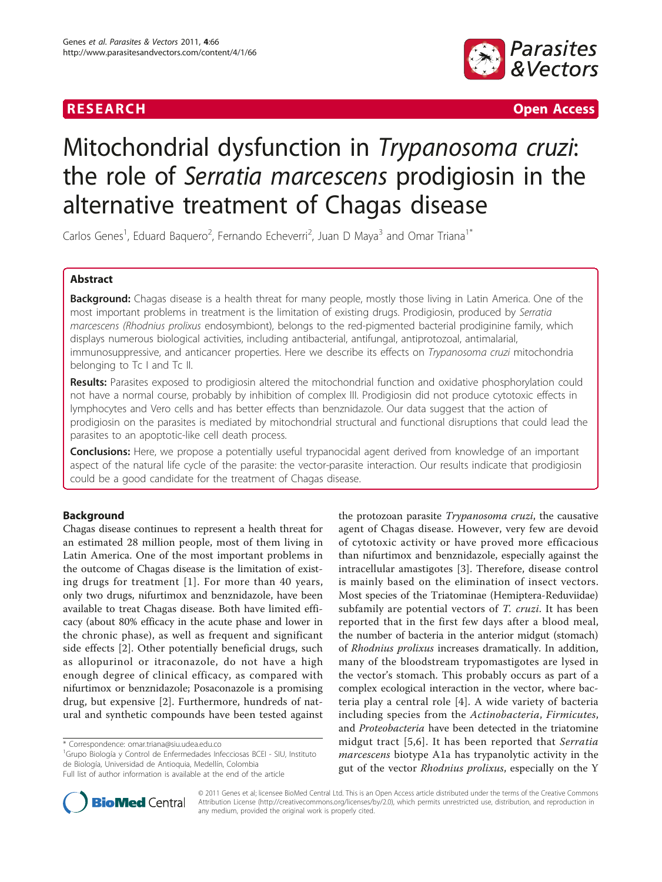

**RESEARCH Open Access** 

# Mitochondrial dysfunction in Trypanosoma cruzi: the role of Serratia marcescens prodigiosin in the alternative treatment of Chagas disease

Carlos Genes<sup>1</sup>, Eduard Baquero<sup>2</sup>, Fernando Echeverri<sup>2</sup>, Juan D Maya<sup>3</sup> and Omar Triana<sup>1\*</sup>

### Abstract

Background: Chagas disease is a health threat for many people, mostly those living in Latin America. One of the most important problems in treatment is the limitation of existing drugs. Prodigiosin, produced by Serratia marcescens (Rhodnius prolixus endosymbiont), belongs to the red-pigmented bacterial prodiginine family, which displays numerous biological activities, including antibacterial, antifungal, antiprotozoal, antimalarial, immunosuppressive, and anticancer properties. Here we describe its effects on *Trypanosoma cruzi* mitochondria belonging to Tc I and Tc II.

Results: Parasites exposed to prodigiosin altered the mitochondrial function and oxidative phosphorylation could not have a normal course, probably by inhibition of complex III. Prodigiosin did not produce cytotoxic effects in lymphocytes and Vero cells and has better effects than benznidazole. Our data suggest that the action of prodigiosin on the parasites is mediated by mitochondrial structural and functional disruptions that could lead the parasites to an apoptotic-like cell death process.

**Conclusions:** Here, we propose a potentially useful trypanocidal agent derived from knowledge of an important aspect of the natural life cycle of the parasite: the vector-parasite interaction. Our results indicate that prodigiosin could be a good candidate for the treatment of Chagas disease.

## Background

Chagas disease continues to represent a health threat for an estimated 28 million people, most of them living in Latin America. One of the most important problems in the outcome of Chagas disease is the limitation of existing drugs for treatment [[1\]](#page-6-0). For more than 40 years, only two drugs, nifurtimox and benznidazole, have been available to treat Chagas disease. Both have limited efficacy (about 80% efficacy in the acute phase and lower in the chronic phase), as well as frequent and significant side effects [[2\]](#page-6-0). Other potentially beneficial drugs, such as allopurinol or itraconazole, do not have a high enough degree of clinical efficacy, as compared with nifurtimox or benznidazole; Posaconazole is a promising drug, but expensive [\[2](#page-6-0)]. Furthermore, hundreds of natural and synthetic compounds have been tested against

<sup>1</sup>Grupo Biología y Control de Enfermedades Infecciosas BCEI - SIU, Instituto de Biología, Universidad de Antioquia, Medellín, Colombia Full list of author information is available at the end of the article



© 2011 Genes et al; licensee BioMed Central Ltd. This is an Open Access article distributed under the terms of the Creative Commons Attribution License [\(http://creativecommons.org/licenses/by/2.0](http://creativecommons.org/licenses/by/2.0)), which permits unrestricted use, distribution, and reproduction in any medium, provided the original work is properly cited.

<sup>\*</sup> Correspondence: [omar.triana@siu.udea.edu.co](mailto:omar.triana@siu.udea.edu.co)

the protozoan parasite Trypanosoma cruzi, the causative agent of Chagas disease. However, very few are devoid of cytotoxic activity or have proved more efficacious than nifurtimox and benznidazole, especially against the intracellular amastigotes [\[3\]](#page-6-0). Therefore, disease control is mainly based on the elimination of insect vectors. Most species of the Triatominae (Hemiptera-Reduviidae) subfamily are potential vectors of T. cruzi. It has been reported that in the first few days after a blood meal, the number of bacteria in the anterior midgut (stomach) of Rhodnius prolixus increases dramatically. In addition, many of the bloodstream trypomastigotes are lysed in the vector's stomach. This probably occurs as part of a complex ecological interaction in the vector, where bacteria play a central role [[4\]](#page-6-0). A wide variety of bacteria including species from the Actinobacteria, Firmicutes, and Proteobacteria have been detected in the triatomine midgut tract [[5,6\]](#page-6-0). It has been reported that Serratia marcescens biotype A1a has trypanolytic activity in the gut of the vector Rhodnius prolixus, especially on the Y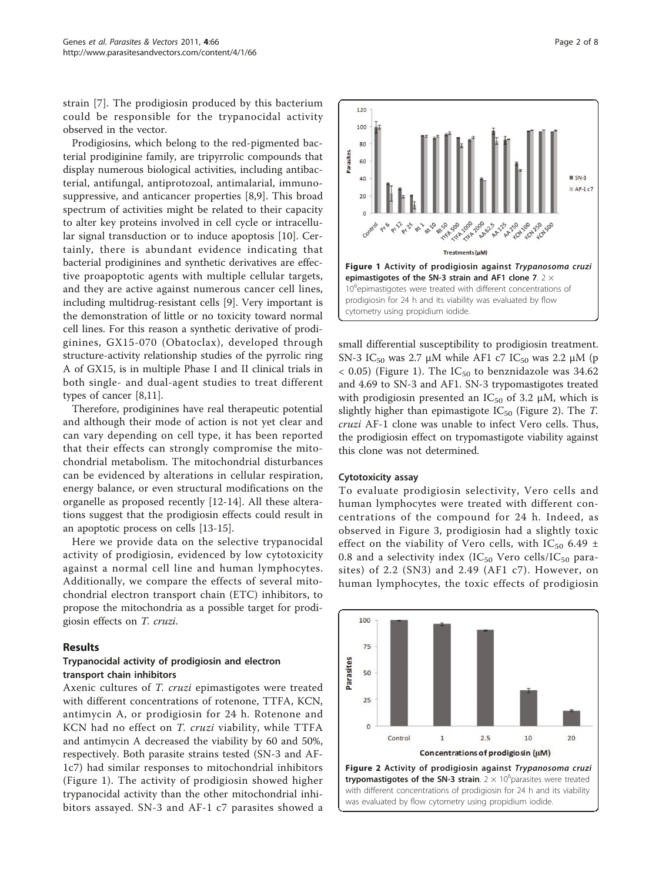strain [\[7](#page-6-0)]. The prodigiosin produced by this bacterium could be responsible for the trypanocidal activity observed in the vector.

Prodigiosins, which belong to the red-pigmented bacterial prodiginine family, are tripyrrolic compounds that display numerous biological activities, including antibacterial, antifungal, antiprotozoal, antimalarial, immunosuppressive, and anticancer properties [[8,9\]](#page-6-0). This broad spectrum of activities might be related to their capacity to alter key proteins involved in cell cycle or intracellular signal transduction or to induce apoptosis [\[10](#page-6-0)]. Certainly, there is abundant evidence indicating that bacterial prodiginines and synthetic derivatives are effective proapoptotic agents with multiple cellular targets, and they are active against numerous cancer cell lines, including multidrug-resistant cells [\[9\]](#page-6-0). Very important is the demonstration of little or no toxicity toward normal cell lines. For this reason a synthetic derivative of prodiginines, GX15-070 (Obatoclax), developed through structure-activity relationship studies of the pyrrolic ring A of GX15, is in multiple Phase I and II clinical trials in both single- and dual-agent studies to treat different types of cancer [[8,11\]](#page-6-0).

Therefore, prodiginines have real therapeutic potential and although their mode of action is not yet clear and can vary depending on cell type, it has been reported that their effects can strongly compromise the mitochondrial metabolism. The mitochondrial disturbances can be evidenced by alterations in cellular respiration, energy balance, or even structural modifications on the organelle as proposed recently [[12-14\]](#page-6-0). All these alterations suggest that the prodigiosin effects could result in an apoptotic process on cells [\[13](#page-6-0)-[15](#page-6-0)].

Here we provide data on the selective trypanocidal activity of prodigiosin, evidenced by low cytotoxicity against a normal cell line and human lymphocytes. Additionally, we compare the effects of several mitochondrial electron transport chain (ETC) inhibitors, to propose the mitochondria as a possible target for prodigiosin effects on T. cruzi.

#### Results

#### Trypanocidal activity of prodigiosin and electron transport chain inhibitors

Axenic cultures of T. cruzi epimastigotes were treated with different concentrations of rotenone, TTFA, KCN, antimycin A, or prodigiosin for 24 h. Rotenone and KCN had no effect on T. cruzi viability, while TTFA and antimycin A decreased the viability by 60 and 50%, respectively. Both parasite strains tested (SN-3 and AF-1c7) had similar responses to mitochondrial inhibitors (Figure 1). The activity of prodigiosin showed higher trypanocidal activity than the other mitochondrial inhibitors assayed. SN-3 and AF-1 c7 parasites showed a



small differential susceptibility to prodigiosin treatment. SN-3 IC<sub>50</sub> was 2.7 μM while AF1 c7 IC<sub>50</sub> was 2.2 μM (p  $<$  0.05) (Figure 1). The IC<sub>50</sub> to benznidazole was 34.62 and 4.69 to SN-3 and AF1. SN-3 trypomastigotes treated with prodigiosin presented an  $IC_{50}$  of 3.2  $\mu$ M, which is slightly higher than epimastigote  $IC_{50}$  (Figure 2). The T. cruzi AF-1 clone was unable to infect Vero cells. Thus, the prodigiosin effect on trypomastigote viability against this clone was not determined.

#### Cytotoxicity assay

To evaluate prodigiosin selectivity, Vero cells and human lymphocytes were treated with different concentrations of the compound for 24 h. Indeed, as observed in Figure [3,](#page-2-0) prodigiosin had a slightly toxic effect on the viability of Vero cells, with IC<sub>50</sub> 6.49 ± 0.8 and a selectivity index ( $IC_{50}$  Vero cells/ $IC_{50}$  parasites) of 2.2 (SN3) and 2.49 (AF1 c7). However, on human lymphocytes, the toxic effects of prodigiosin

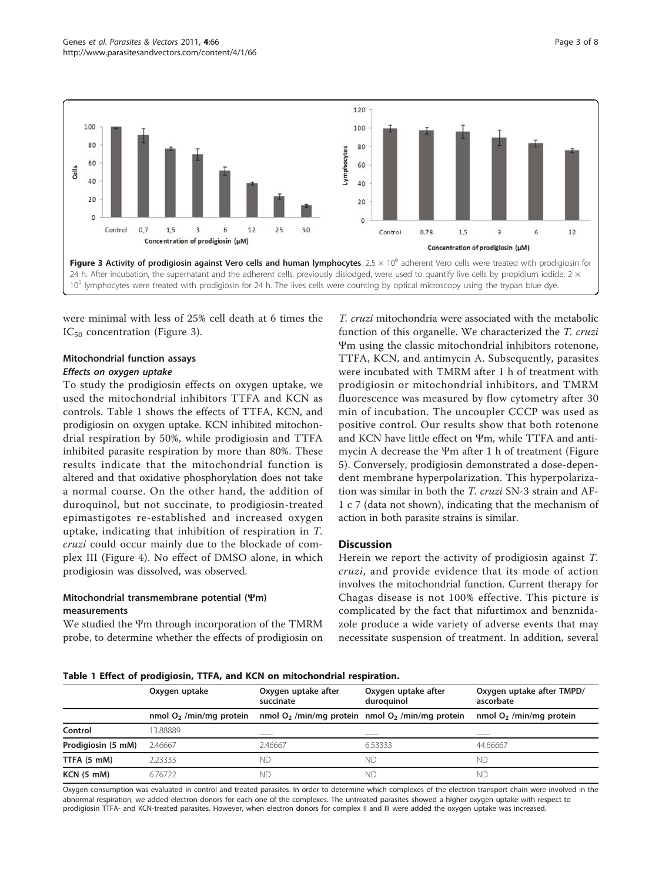<span id="page-2-0"></span>

were minimal with less of 25% cell death at 6 times the  $IC_{50}$  concentration (Figure 3).

#### Mitochondrial function assays

Effects on oxygen uptake To study the prodigiosin effects on oxygen uptake, we used the mitochondrial inhibitors TTFA and KCN as controls. Table 1 shows the effects of TTFA, KCN, and prodigiosin on oxygen uptake. KCN inhibited mitochondrial respiration by 50%, while prodigiosin and TTFA inhibited parasite respiration by more than 80%. These results indicate that the mitochondrial function is altered and that oxidative phosphorylation does not take a normal course. On the other hand, the addition of duroquinol, but not succinate, to prodigiosin-treated epimastigotes re-established and increased oxygen uptake, indicating that inhibition of respiration in T. cruzi could occur mainly due to the blockade of complex III (Figure [4\)](#page-3-0). No effect of DMSO alone, in which prodigiosin was dissolved, was observed.

#### Mitochondrial transmembrane potential (Ψm) measurements

We studied the Ψm through incorporation of the TMRM probe, to determine whether the effects of prodigiosin on

T. cruzi mitochondria were associated with the metabolic function of this organelle. We characterized the T. cruzi Ψm using the classic mitochondrial inhibitors rotenone, TTFA, KCN, and antimycin A. Subsequently, parasites were incubated with TMRM after 1 h of treatment with prodigiosin or mitochondrial inhibitors, and TMRM fluorescence was measured by flow cytometry after 30 min of incubation. The uncoupler CCCP was used as positive control. Our results show that both rotenone and KCN have little effect on Ψm, while TTFA and antimycin A decrease the Ψm after 1 h of treatment (Figure [5\)](#page-3-0). Conversely, prodigiosin demonstrated a dose-dependent membrane hyperpolarization. This hyperpolarization was similar in both the T. cruzi SN-3 strain and AF-1 c 7 (data not shown), indicating that the mechanism of action in both parasite strains is similar.

#### **Discussion**

Herein we report the activity of prodigiosin against T. cruzi, and provide evidence that its mode of action involves the mitochondrial function. Current therapy for Chagas disease is not 100% effective. This picture is complicated by the fact that nifurtimox and benznidazole produce a wide variety of adverse events that may necessitate suspension of treatment. In addition, several

#### Table 1 Effect of prodigiosin, TTFA, and KCN on mitochondrial respiration.

|                    | Oxygen uptake             | Oxygen uptake after<br>succinate | Oxygen uptake after<br>duroquinol                   | Oxygen uptake after TMPD/<br>ascorbate |
|--------------------|---------------------------|----------------------------------|-----------------------------------------------------|----------------------------------------|
|                    | nmol $O2$ /min/mg protein |                                  | nmol $O2$ /min/mg protein nmol $O2$ /min/mg protein | nmol $O2$ /min/mg protein              |
| Control            | 13.88889                  | ____                             |                                                     |                                        |
| Prodigiosin (5 mM) | 2.46667                   | 2.46667                          | 6.53333                                             | 44.66667                               |
| TTFA (5 mM)        | 2.23333                   | ΝD                               | ΝD                                                  | ND.                                    |
| <b>KCN (5 mM)</b>  | 6.76722                   | ΝD                               | NГ.                                                 | ΝC                                     |

Oxygen consumption was evaluated in control and treated parasites. In order to determine which complexes of the electron transport chain were involved in the abnormal respiration, we added electron donors for each one of the complexes. The untreated parasites showed a higher oxygen uptake with respect to prodigiosin TTFA- and KCN-treated parasites. However, when electron donors for complex II and III were added the oxygen uptake was increased.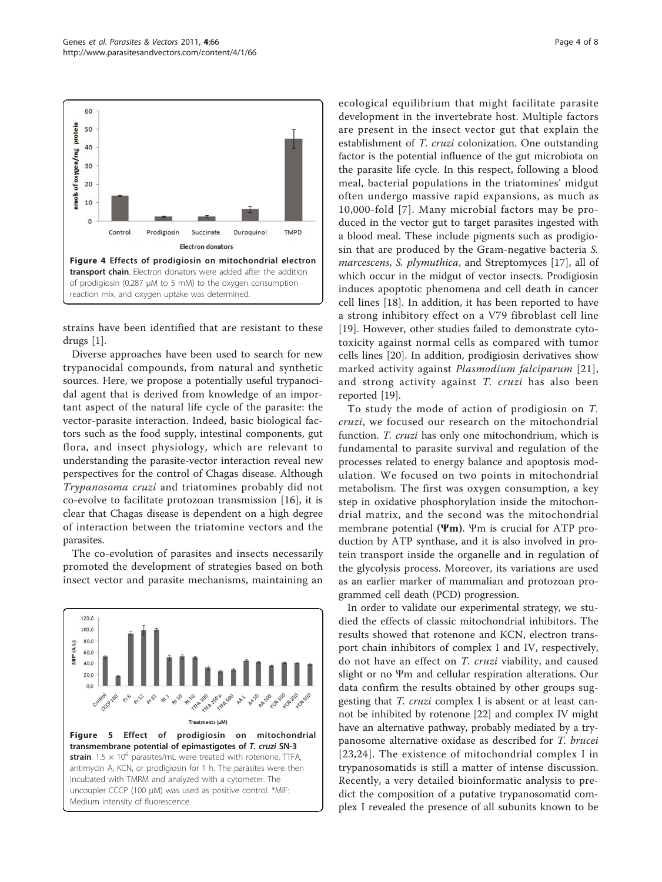<span id="page-3-0"></span>

strains have been identified that are resistant to these drugs [[1\]](#page-6-0).

Diverse approaches have been used to search for new trypanocidal compounds, from natural and synthetic sources. Here, we propose a potentially useful trypanocidal agent that is derived from knowledge of an important aspect of the natural life cycle of the parasite: the vector-parasite interaction. Indeed, basic biological factors such as the food supply, intestinal components, gut flora, and insect physiology, which are relevant to understanding the parasite-vector interaction reveal new perspectives for the control of Chagas disease. Although Trypanosoma cruzi and triatomines probably did not co-evolve to facilitate protozoan transmission [[16\]](#page-6-0), it is clear that Chagas disease is dependent on a high degree of interaction between the triatomine vectors and the parasites.

The co-evolution of parasites and insects necessarily promoted the development of strategies based on both insect vector and parasite mechanisms, maintaining an



ecological equilibrium that might facilitate parasite development in the invertebrate host. Multiple factors are present in the insect vector gut that explain the establishment of T. cruzi colonization. One outstanding factor is the potential influence of the gut microbiota on the parasite life cycle. In this respect, following a blood meal, bacterial populations in the triatomines' midgut often undergo massive rapid expansions, as much as 10,000-fold [[7](#page-6-0)]. Many microbial factors may be produced in the vector gut to target parasites ingested with a blood meal. These include pigments such as prodigiosin that are produced by the Gram-negative bacteria S. marcescens, S. plymuthica, and Streptomyces [[17\]](#page-6-0), all of which occur in the midgut of vector insects. Prodigiosin induces apoptotic phenomena and cell death in cancer cell lines [\[18](#page-6-0)]. In addition, it has been reported to have a strong inhibitory effect on a V79 fibroblast cell line [[19\]](#page-6-0). However, other studies failed to demonstrate cytotoxicity against normal cells as compared with tumor cells lines [\[20](#page-6-0)]. In addition, prodigiosin derivatives show marked activity against Plasmodium falciparum [[21\]](#page-6-0), and strong activity against T. cruzi has also been reported [[19\]](#page-6-0).

To study the mode of action of prodigiosin on T. cruzi, we focused our research on the mitochondrial function. T. cruzi has only one mitochondrium, which is fundamental to parasite survival and regulation of the processes related to energy balance and apoptosis modulation. We focused on two points in mitochondrial metabolism. The first was oxygen consumption, a key step in oxidative phosphorylation inside the mitochondrial matrix, and the second was the mitochondrial membrane potential (Ψm). Ψm is crucial for ATP production by ATP synthase, and it is also involved in protein transport inside the organelle and in regulation of the glycolysis process. Moreover, its variations are used as an earlier marker of mammalian and protozoan programmed cell death (PCD) progression.

In order to validate our experimental strategy, we studied the effects of classic mitochondrial inhibitors. The results showed that rotenone and KCN, electron transport chain inhibitors of complex I and IV, respectively, do not have an effect on T. cruzi viability, and caused slight or no Ψm and cellular respiration alterations. Our data confirm the results obtained by other groups suggesting that T. cruzi complex I is absent or at least cannot be inhibited by rotenone [\[22](#page-6-0)] and complex IV might have an alternative pathway, probably mediated by a trypanosome alternative oxidase as described for T. brucei [[23,24](#page-6-0)]. The existence of mitochondrial complex I in trypanosomatids is still a matter of intense discussion. Recently, a very detailed bioinformatic analysis to predict the composition of a putative trypanosomatid complex I revealed the presence of all subunits known to be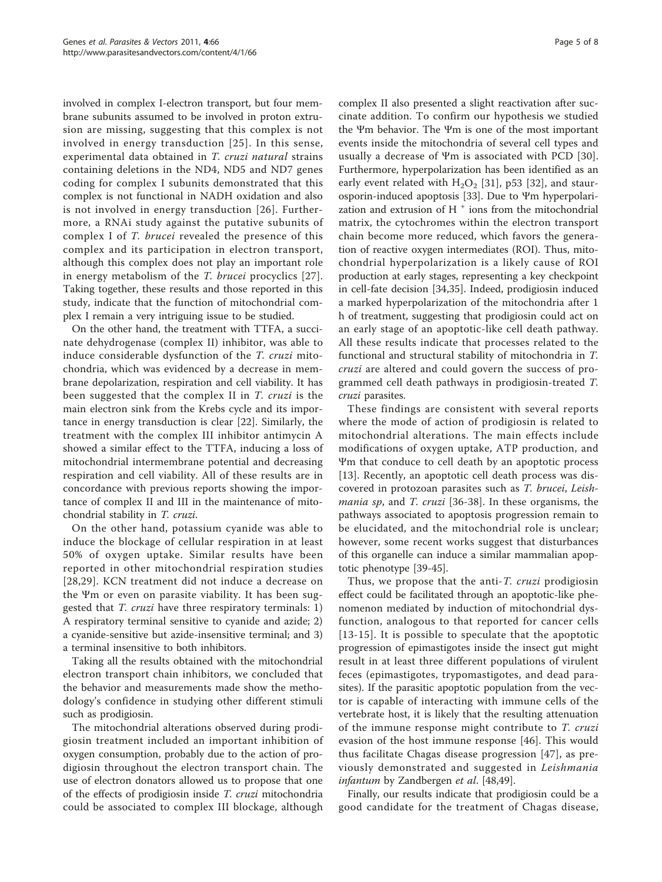involved in complex I-electron transport, but four membrane subunits assumed to be involved in proton extrusion are missing, suggesting that this complex is not involved in energy transduction [\[25](#page-6-0)]. In this sense, experimental data obtained in T. cruzi natural strains containing deletions in the ND4, ND5 and ND7 genes coding for complex I subunits demonstrated that this complex is not functional in NADH oxidation and also is not involved in energy transduction [[26](#page-6-0)]. Furthermore, a RNAi study against the putative subunits of complex I of T. brucei revealed the presence of this complex and its participation in electron transport, although this complex does not play an important role in energy metabolism of the T. brucei procyclics [[27\]](#page-6-0). Taking together, these results and those reported in this study, indicate that the function of mitochondrial complex I remain a very intriguing issue to be studied.

On the other hand, the treatment with TTFA, a succinate dehydrogenase (complex II) inhibitor, was able to induce considerable dysfunction of the T. cruzi mitochondria, which was evidenced by a decrease in membrane depolarization, respiration and cell viability. It has been suggested that the complex II in T. cruzi is the main electron sink from the Krebs cycle and its importance in energy transduction is clear [[22\]](#page-6-0). Similarly, the treatment with the complex III inhibitor antimycin A showed a similar effect to the TTFA, inducing a loss of mitochondrial intermembrane potential and decreasing respiration and cell viability. All of these results are in concordance with previous reports showing the importance of complex II and III in the maintenance of mitochondrial stability in T. cruzi.

On the other hand, potassium cyanide was able to induce the blockage of cellular respiration in at least 50% of oxygen uptake. Similar results have been reported in other mitochondrial respiration studies [[28](#page-6-0),[29](#page-7-0)]. KCN treatment did not induce a decrease on the Ψm or even on parasite viability. It has been suggested that T. cruzi have three respiratory terminals: 1) A respiratory terminal sensitive to cyanide and azide; 2) a cyanide-sensitive but azide-insensitive terminal; and 3) a terminal insensitive to both inhibitors.

Taking all the results obtained with the mitochondrial electron transport chain inhibitors, we concluded that the behavior and measurements made show the methodology's confidence in studying other different stimuli such as prodigiosin.

The mitochondrial alterations observed during prodigiosin treatment included an important inhibition of oxygen consumption, probably due to the action of prodigiosin throughout the electron transport chain. The use of electron donators allowed us to propose that one of the effects of prodigiosin inside T. cruzi mitochondria could be associated to complex III blockage, although complex II also presented a slight reactivation after succinate addition. To confirm our hypothesis we studied the Ψm behavior. The Ψm is one of the most important events inside the mitochondria of several cell types and usually a decrease of Ψm is associated with PCD [[30](#page-7-0)]. Furthermore, hyperpolarization has been identified as an early event related with  $H_2O_2$  [\[31](#page-7-0)], p53 [[32\]](#page-7-0), and staurosporin-induced apoptosis [[33\]](#page-7-0). Due to Ψm hyperpolarization and extrusion of H<sup>+</sup> ions from the mitochondrial matrix, the cytochromes within the electron transport chain become more reduced, which favors the generation of reactive oxygen intermediates (ROI). Thus, mitochondrial hyperpolarization is a likely cause of ROI production at early stages, representing a key checkpoint in cell-fate decision [\[34,35](#page-7-0)]. Indeed, prodigiosin induced a marked hyperpolarization of the mitochondria after 1 h of treatment, suggesting that prodigiosin could act on an early stage of an apoptotic-like cell death pathway. All these results indicate that processes related to the functional and structural stability of mitochondria in T. cruzi are altered and could govern the success of programmed cell death pathways in prodigiosin-treated T.

These findings are consistent with several reports where the mode of action of prodigiosin is related to mitochondrial alterations. The main effects include modifications of oxygen uptake, ATP production, and Ψm that conduce to cell death by an apoptotic process [[13](#page-6-0)]. Recently, an apoptotic cell death process was discovered in protozoan parasites such as T. brucei, Leishmania sp, and T. cruzi [\[36](#page-7-0)-[38](#page-7-0)]. In these organisms, the pathways associated to apoptosis progression remain to be elucidated, and the mitochondrial role is unclear; however, some recent works suggest that disturbances of this organelle can induce a similar mammalian apoptotic phenotype [\[39-45](#page-7-0)].

cruzi parasites.

Thus, we propose that the anti-T. cruzi prodigiosin effect could be facilitated through an apoptotic-like phenomenon mediated by induction of mitochondrial dysfunction, analogous to that reported for cancer cells [[13-15\]](#page-6-0). It is possible to speculate that the apoptotic progression of epimastigotes inside the insect gut might result in at least three different populations of virulent feces (epimastigotes, trypomastigotes, and dead parasites). If the parasitic apoptotic population from the vector is capable of interacting with immune cells of the vertebrate host, it is likely that the resulting attenuation of the immune response might contribute to T. cruzi evasion of the host immune response [[46\]](#page-7-0). This would thus facilitate Chagas disease progression [[47](#page-7-0)], as previously demonstrated and suggested in Leishmania infantum by Zandbergen et al. [\[48,49\]](#page-7-0).

Finally, our results indicate that prodigiosin could be a good candidate for the treatment of Chagas disease,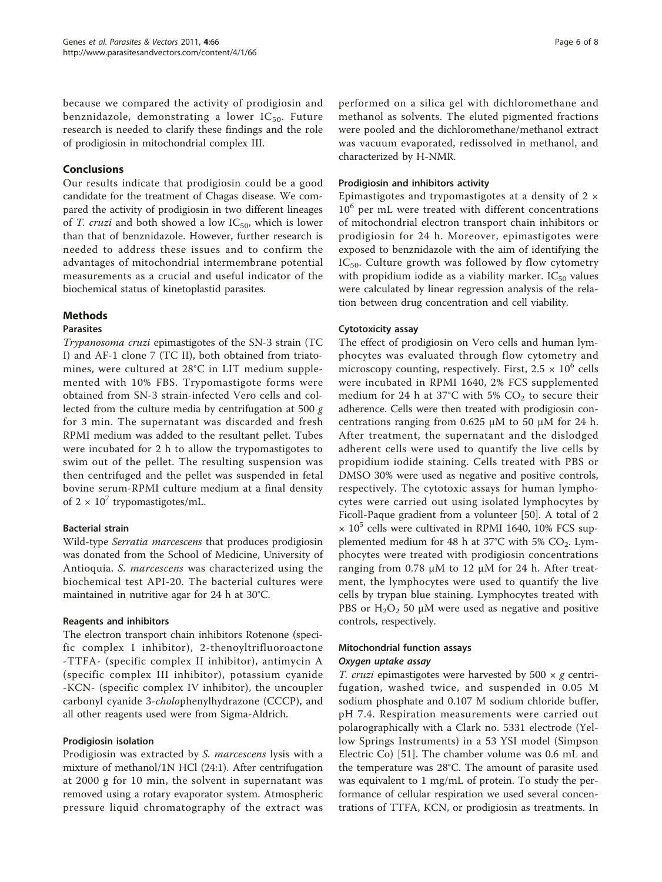because we compared the activity of prodigiosin and benznidazole, demonstrating a lower  $IC_{50}$ . Future research is needed to clarify these findings and the role of prodigiosin in mitochondrial complex III.

#### Conclusions

Our results indicate that prodigiosin could be a good candidate for the treatment of Chagas disease. We compared the activity of prodigiosin in two different lineages of T. cruzi and both showed a low  $IC_{50}$ , which is lower than that of benznidazole. However, further research is needed to address these issues and to confirm the advantages of mitochondrial intermembrane potential measurements as a crucial and useful indicator of the biochemical status of kinetoplastid parasites.

#### Methods

#### Parasites

Trypanosoma cruzi epimastigotes of the SN-3 strain (TC I) and AF-1 clone 7 (TC II), both obtained from triatomines, were cultured at 28°C in LIT medium supplemented with 10% FBS. Trypomastigote forms were obtained from SN-3 strain-infected Vero cells and collected from the culture media by centrifugation at 500  $g$ for 3 min. The supernatant was discarded and fresh RPMI medium was added to the resultant pellet. Tubes were incubated for 2 h to allow the trypomastigotes to swim out of the pellet. The resulting suspension was then centrifuged and the pellet was suspended in fetal bovine serum-RPMI culture medium at a final density of  $2 \times 10^7$  trypomastigotes/mL.

#### Bacterial strain

Wild-type Serratia marcescens that produces prodigiosin was donated from the School of Medicine, University of Antioquia. S. marcescens was characterized using the biochemical test API-20. The bacterial cultures were maintained in nutritive agar for 24 h at 30°C.

#### Reagents and inhibitors

The electron transport chain inhibitors Rotenone (specific complex I inhibitor), 2-thenoyltrifluoroactone -TTFA- (specific complex II inhibitor), antimycin A (specific complex III inhibitor), potassium cyanide -KCN- (specific complex IV inhibitor), the uncoupler carbonyl cyanide 3-cholophenylhydrazone (CCCP), and all other reagents used were from Sigma-Aldrich.

#### Prodigiosin isolation

Prodigiosin was extracted by S. marcescens lysis with a mixture of methanol/1N HCl (24:1). After centrifugation at 2000 g for 10 min, the solvent in supernatant was removed using a rotary evaporator system. Atmospheric pressure liquid chromatography of the extract was

performed on a silica gel with dichloromethane and methanol as solvents. The eluted pigmented fractions were pooled and the dichloromethane/methanol extract was vacuum evaporated, redissolved in methanol, and characterized by H-NMR.

#### Prodigiosin and inhibitors activity

Epimastigotes and trypomastigotes at a density of  $2 \times$ 10<sup>6</sup> per mL were treated with different concentrations of mitochondrial electron transport chain inhibitors or prodigiosin for 24 h. Moreover, epimastigotes were exposed to benznidazole with the aim of identifying the  $IC_{50}$ . Culture growth was followed by flow cytometry with propidium iodide as a viability marker.  $IC_{50}$  values were calculated by linear regression analysis of the relation between drug concentration and cell viability.

#### Cytotoxicity assay

The effect of prodigiosin on Vero cells and human lymphocytes was evaluated through flow cytometry and microscopy counting, respectively. First,  $2.5 \times 10^6$  cells were incubated in RPMI 1640, 2% FCS supplemented medium for 24 h at 37°C with 5%  $CO<sub>2</sub>$  to secure their adherence. Cells were then treated with prodigiosin concentrations ranging from 0.625 μM to 50 μM for 24 h. After treatment, the supernatant and the dislodged adherent cells were used to quantify the live cells by propidium iodide staining. Cells treated with PBS or DMSO 30% were used as negative and positive controls, respectively. The cytotoxic assays for human lymphocytes were carried out using isolated lymphocytes by Ficoll-Paque gradient from a volunteer [[50\]](#page-7-0). A total of 2  $\times$  10<sup>5</sup> cells were cultivated in RPMI 1640, 10% FCS supplemented medium for 48 h at 37°C with 5%  $CO<sub>2</sub>$ . Lymphocytes were treated with prodigiosin concentrations ranging from 0.78 μM to 12 μM for 24 h. After treatment, the lymphocytes were used to quantify the live cells by trypan blue staining. Lymphocytes treated with PBS or  $H_2O_2$  50 μM were used as negative and positive controls, respectively.

## Mitochondrial function assays

T. cruzi epimastigotes were harvested by  $500 \times g$  centrifugation, washed twice, and suspended in 0.05 M sodium phosphate and 0.107 M sodium chloride buffer, pH 7.4. Respiration measurements were carried out polarographically with a Clark no. 5331 electrode (Yellow Springs Instruments) in a 53 YSI model (Simpson Electric Co) [[51\]](#page-7-0). The chamber volume was 0.6 mL and the temperature was 28°C. The amount of parasite used was equivalent to 1 mg/mL of protein. To study the performance of cellular respiration we used several concentrations of TTFA, KCN, or prodigiosin as treatments. In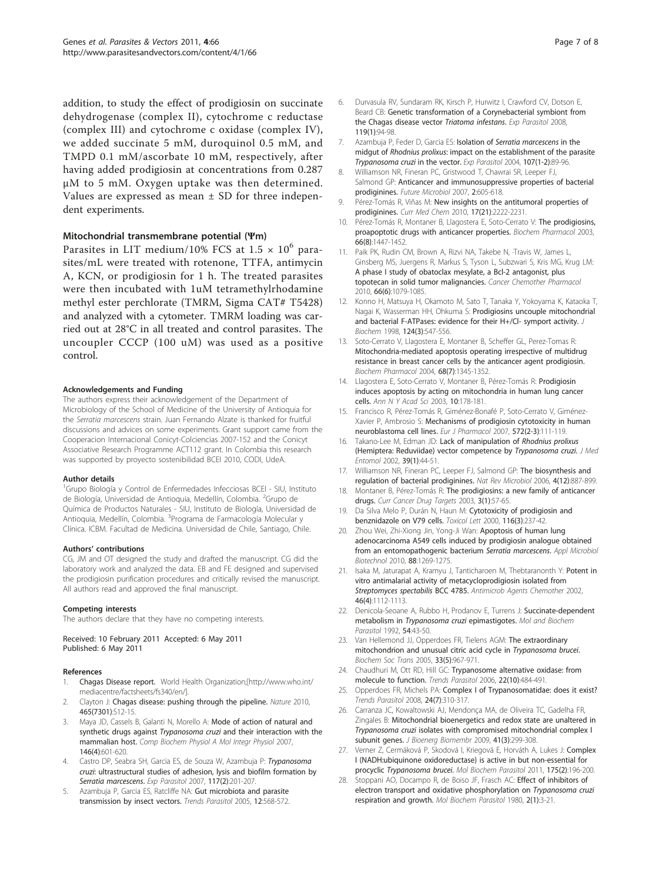<span id="page-6-0"></span>addition, to study the effect of prodigiosin on succinate dehydrogenase (complex II), cytochrome c reductase (complex III) and cytochrome c oxidase (complex IV), we added succinate 5 mM, duroquinol 0.5 mM, and TMPD 0.1 mM/ascorbate 10 mM, respectively, after having added prodigiosin at concentrations from 0.287 μM to 5 mM. Oxygen uptake was then determined. Values are expressed as mean  $\pm$  SD for three independent experiments.

#### Mitochondrial transmembrane potential (Ψm)

Parasites in LIT medium/10% FCS at  $1.5 \times 10^6$  parasites/mL were treated with rotenone, TTFA, antimycin A, KCN, or prodigiosin for 1 h. The treated parasites were then incubated with 1uM tetramethylrhodamine methyl ester perchlorate (TMRM, Sigma CAT# T5428) and analyzed with a cytometer. TMRM loading was carried out at 28°C in all treated and control parasites. The uncoupler CCCP (100 uM) was used as a positive control.

#### Acknowledgements and Funding

The authors express their acknowledgement of the Department of Microbiology of the School of Medicine of the University of Antioquia for the Serratia marcescens strain. Juan Fernando Alzate is thanked for fruitful discussions and advices on some experiments. Grant support came from the Cooperacion Internacional Conicyt-Colciencias 2007-152 and the Conicyt Associative Research Programme ACT112 grant. In Colombia this research was supported by proyecto sostenibilidad BCEI 2010, CODI, UdeA.

#### Author details

<sup>1</sup>Grupo Biología y Control de Enfermedades Infecciosas BCEI - SIU, Instituto de Biología, Universidad de Antioquia, Medellín, Colombia. <sup>2</sup>Grupo de Química de Productos Naturales - SIU, Instituto de Biología, Universidad de Antioquia, Medellín, Colombia. <sup>3</sup>Programa de Farmacología Molecular y Clínica. ICBM. Facultad de Medicina. Universidad de Chile, Santiago, Chile.

#### Authors' contributions

CG, JM and OT designed the study and drafted the manuscript. CG did the laboratory work and analyzed the data. EB and FE designed and supervised the prodigiosin purification procedures and critically revised the manuscript. All authors read and approved the final manuscript.

#### Competing interests

The authors declare that they have no competing interests.

Received: 10 February 2011 Accepted: 6 May 2011 Published: 6 May 2011

#### References

- 1. Chagas Disease report. World Health Organization;[[http://www.who.int/](http://www.who.int/mediacentre/factsheets/fs340/en/) [mediacentre/factsheets/fs340/en/\]](http://www.who.int/mediacentre/factsheets/fs340/en/).
- 2. Clayton J: Chagas disease: pushing through the pipeline. Nature 2010, 465(7301):S12-15.
- 3. Maya JD, Cassels B, Galanti N, Morello A: [Mode of action of natural and](http://www.ncbi.nlm.nih.gov/pubmed/16626984?dopt=Abstract) synthetic drugs against Trypanosoma cruzi [and their interaction with the](http://www.ncbi.nlm.nih.gov/pubmed/16626984?dopt=Abstract) [mammalian host.](http://www.ncbi.nlm.nih.gov/pubmed/16626984?dopt=Abstract) Comp Biochem Physiol A Mol Integr Physiol 2007, 146(4):601-620.
- Castro DP, Seabra SH, Garcia ES, de Souza W, Azambuja P: [Trypanosoma](http://www.ncbi.nlm.nih.gov/pubmed/17570364?dopt=Abstract) cruzi[: ultrastructural studies of adhesion, lysis and biofilm formation by](http://www.ncbi.nlm.nih.gov/pubmed/17570364?dopt=Abstract) [Serratia marcescens](http://www.ncbi.nlm.nih.gov/pubmed/17570364?dopt=Abstract). Exp Parasitol 2007, 117(2):201-207.
- Azambuja P, Garcia ES, Ratcliffe NA: Gut microbiota and parasite transmission by insect vectors. Trends Parasitol 2005, 12:568-572.
- 6. Durvasula RV, Sundaram RK, Kirsch P, Hurwitz I, Crawford CV, Dotson E, Beard CB: [Genetic transformation of a Corynebacterial symbiont from](http://www.ncbi.nlm.nih.gov/pubmed/18331732?dopt=Abstract) [the Chagas disease vector](http://www.ncbi.nlm.nih.gov/pubmed/18331732?dopt=Abstract) Triatoma infestans. Exp Parasitol 2008, 119(1):94-98.
- 7. Azambuja P, Feder D, Garcia ES: Isolation of [Serratia marcescens](http://www.ncbi.nlm.nih.gov/pubmed/15208042?dopt=Abstract) in the midgut of Rhodnius prolixus[: impact on the establishment of the parasite](http://www.ncbi.nlm.nih.gov/pubmed/15208042?dopt=Abstract) [Trypanosoma cruzi](http://www.ncbi.nlm.nih.gov/pubmed/15208042?dopt=Abstract) in the vector. Exp Parasitol 2004, 107(1-2):89-96.
- 8. Williamson NR, Fineran PC, Gristwood T, Chawrai SR, Leeper FJ, Salmond GP: [Anticancer and immunosuppressive properties of bacterial](http://www.ncbi.nlm.nih.gov/pubmed/18041902?dopt=Abstract) [prodiginines.](http://www.ncbi.nlm.nih.gov/pubmed/18041902?dopt=Abstract) Future Microbiol 2007, 2:605-618.
- 9. Pérez-Tomás R, Viñas M: [New insights on the antitumoral properties of](http://www.ncbi.nlm.nih.gov/pubmed/20459382?dopt=Abstract) [prodiginines.](http://www.ncbi.nlm.nih.gov/pubmed/20459382?dopt=Abstract) Curr Med Chem 2010, 17(21):2222-2231.
- 10. Pérez-Tomás R, Montaner B, Llagostera E, Soto-Cerrato V: [The prodigiosins,](http://www.ncbi.nlm.nih.gov/pubmed/14555220?dopt=Abstract) [proapoptotic drugs with anticancer properties.](http://www.ncbi.nlm.nih.gov/pubmed/14555220?dopt=Abstract) Biochem Pharmacol 2003, 66(8):1447-1452.
- 11. Paik PK, Rudin CM, Brown A, Rizvi NA, Takebe N, ·Travis W, James L, Ginsberg MS, Juergens R, Markus S, Tyson L, Subzwari S, Kris MG, Krug LM: [A phase I study of obatoclax mesylate, a Bcl-2 antagonist, plus](http://www.ncbi.nlm.nih.gov/pubmed/20165849?dopt=Abstract) [topotecan in solid tumor malignancies.](http://www.ncbi.nlm.nih.gov/pubmed/20165849?dopt=Abstract) Cancer Chemother Pharmacol 2010, 66(6):1079-1085.
- 12. Konno H, Matsuya H, Okamoto M, Sato T, Tanaka Y, Yokoyama K, Kataoka T, Nagai K, Wasserman HH, Ohkuma S: [Prodigiosins uncouple mitochondrial](http://www.ncbi.nlm.nih.gov/pubmed/9722664?dopt=Abstract) [and bacterial F-ATPases: evidence for their H+/Cl- symport activity.](http://www.ncbi.nlm.nih.gov/pubmed/9722664?dopt=Abstract) J Biochem 1998, 124(3):547-556.
- 13. Soto-Cerrato V, Llagostera E, Montaner B, Scheffer GL, Perez-Tomas R: [Mitochondria-mediated apoptosis operating irrespective of multidrug](http://www.ncbi.nlm.nih.gov/pubmed/15345324?dopt=Abstract) [resistance in breast cancer cells by the anticancer agent prodigiosin.](http://www.ncbi.nlm.nih.gov/pubmed/15345324?dopt=Abstract) Biochem Pharmacol 2004, 68(7):1345-1352.
- 14. Llagostera E, Soto-Cerrato V, Montaner B, Pérez-Tomás R: Prodigiosin induces apoptosis by acting on mitochondria in human lung cancer cells. Ann N Y Acad Sci 2003, 10:178-181.
- 15. Francisco R, Pérez-Tomás R, Giménez-Bonafé P, Soto-Cerrato V, Giménez-Xavier P, Ambrosio S: [Mechanisms of prodigiosin cytotoxicity in human](http://www.ncbi.nlm.nih.gov/pubmed/17678643?dopt=Abstract) [neuroblastoma cell lines.](http://www.ncbi.nlm.nih.gov/pubmed/17678643?dopt=Abstract) Eur J Pharmacol 2007, 572(2-3):111-119.
- 16. Takano-Lee M, Edman JD: [Lack of manipulation of](http://www.ncbi.nlm.nih.gov/pubmed/11931271?dopt=Abstract) Rhodnius prolixus [\(Hemiptera: Reduviidae\) vector competence by](http://www.ncbi.nlm.nih.gov/pubmed/11931271?dopt=Abstract) Trypanosoma cruzi. J Med Entomol 2002, 39(1):44-51.
- 17. Williamson NR, Fineran PC, Leeper FJ, Salmond GP: [The biosynthesis and](http://www.ncbi.nlm.nih.gov/pubmed/17109029?dopt=Abstract) [regulation of bacterial prodiginines.](http://www.ncbi.nlm.nih.gov/pubmed/17109029?dopt=Abstract) Nat Rev Microbiol 2006, 4(12):887-899.
- 18. Montaner B, Pérez-Tomás R: [The prodigiosins: a new family of anticancer](http://www.ncbi.nlm.nih.gov/pubmed/12570661?dopt=Abstract) [drugs.](http://www.ncbi.nlm.nih.gov/pubmed/12570661?dopt=Abstract) Curr Cancer Drug Targets 2003, 3(1):57-65.
- 19. Da Silva Melo P, Durán N, Haun M: [Cytotoxicity of prodigiosin and](http://www.ncbi.nlm.nih.gov/pubmed/10996486?dopt=Abstract) [benznidazole on V79 cells.](http://www.ncbi.nlm.nih.gov/pubmed/10996486?dopt=Abstract) Toxicol Lett 2000, 116(3):237-42.
- 20. Zhou Wei, Zhi-Xiong Jin, Yong-Ji Wan: [Apoptosis of human lung](http://www.ncbi.nlm.nih.gov/pubmed/20717667?dopt=Abstract) [adenocarcinoma A549 cells induced by prodigiosin analogue obtained](http://www.ncbi.nlm.nih.gov/pubmed/20717667?dopt=Abstract) [from an entomopathogenic bacterium](http://www.ncbi.nlm.nih.gov/pubmed/20717667?dopt=Abstract) Serratia marcescens. Appl Microbiol Biotechnol 2010, 88:1269-1275.
- 21. Isaka M, Jaturapat A, Kramyu J, Tanticharoen M, Thebtaranonth Y: [Potent in](http://www.ncbi.nlm.nih.gov/pubmed/11897600?dopt=Abstract) [vitro antimalarial activity of metacycloprodigiosin isolated from](http://www.ncbi.nlm.nih.gov/pubmed/11897600?dopt=Abstract) [Streptomyces spectabilis](http://www.ncbi.nlm.nih.gov/pubmed/11897600?dopt=Abstract) BCC 4785. Antimicrob Agents Chemother 2002, 46(4):1112-1113.
- 22. Denicola-Seoane A, Rubbo H, Prodanov E, Turrens J: Succinate-dependent metabolism in Trypanosoma cruzi epimastigotes. Mol and Biochem Parasitol 1992, 54:43-50.
- 23. Van Hellemond JJ, Opperdoes FR, Tielens AGM: [The extraordinary](http://www.ncbi.nlm.nih.gov/pubmed/16246022?dopt=Abstract) [mitochondrion and unusual citric acid cycle in](http://www.ncbi.nlm.nih.gov/pubmed/16246022?dopt=Abstract) Trypanosoma brucei. Biochem Soc Trans 2005, 33(5):967-971.
- 24. Chaudhuri M, Ott RD, Hill GC: [Trypanosome alternative oxidase: from](http://www.ncbi.nlm.nih.gov/pubmed/16920028?dopt=Abstract) [molecule to function.](http://www.ncbi.nlm.nih.gov/pubmed/16920028?dopt=Abstract) Trends Parasitol 2006, 22(10):484-491.
- 25. Opperdoes FR, Michels PA: [Complex I of Trypanosomatidae: does it exist?](http://www.ncbi.nlm.nih.gov/pubmed/18534909?dopt=Abstract) Trends Parasitol 2008, 24(7):310-317.
- 26. Carranza JC, Kowaltowski AJ, Mendonça MA, de Oliveira TC, Gadelha FR, Zingales B: [Mitochondrial bioenergetics and redox state are unaltered in](http://www.ncbi.nlm.nih.gov/pubmed/19618257?dopt=Abstract) Trypanosoma cruzi [isolates with compromised mitochondrial complex I](http://www.ncbi.nlm.nih.gov/pubmed/19618257?dopt=Abstract) [subunit genes.](http://www.ncbi.nlm.nih.gov/pubmed/19618257?dopt=Abstract) J Bioenerg Biomembr 2009, 41(3):299-308.
- 27. Verner Z, Cermáková P, Skodová I, Kriegová E, Horváth A, Lukes J; [Complex](http://www.ncbi.nlm.nih.gov/pubmed/21074578?dopt=Abstract) [I \(NADH:ubiquinone oxidoreductase\) is active in but non-essential for](http://www.ncbi.nlm.nih.gov/pubmed/21074578?dopt=Abstract) procyclic [Trypanosoma brucei](http://www.ncbi.nlm.nih.gov/pubmed/21074578?dopt=Abstract). Mol Biochem Parasitol 2011, 175(2):196-200.
- 28. Stoppani AO, Docampo R, de Boiso JF, Frasch AC: [Effect of inhibitors of](http://www.ncbi.nlm.nih.gov/pubmed/7007881?dopt=Abstract) [electron transport and oxidative phosphorylation on](http://www.ncbi.nlm.nih.gov/pubmed/7007881?dopt=Abstract) Trypanosoma cruzi [respiration and growth.](http://www.ncbi.nlm.nih.gov/pubmed/7007881?dopt=Abstract) Mol Biochem Parasitol 1980, 2(1):3-21.